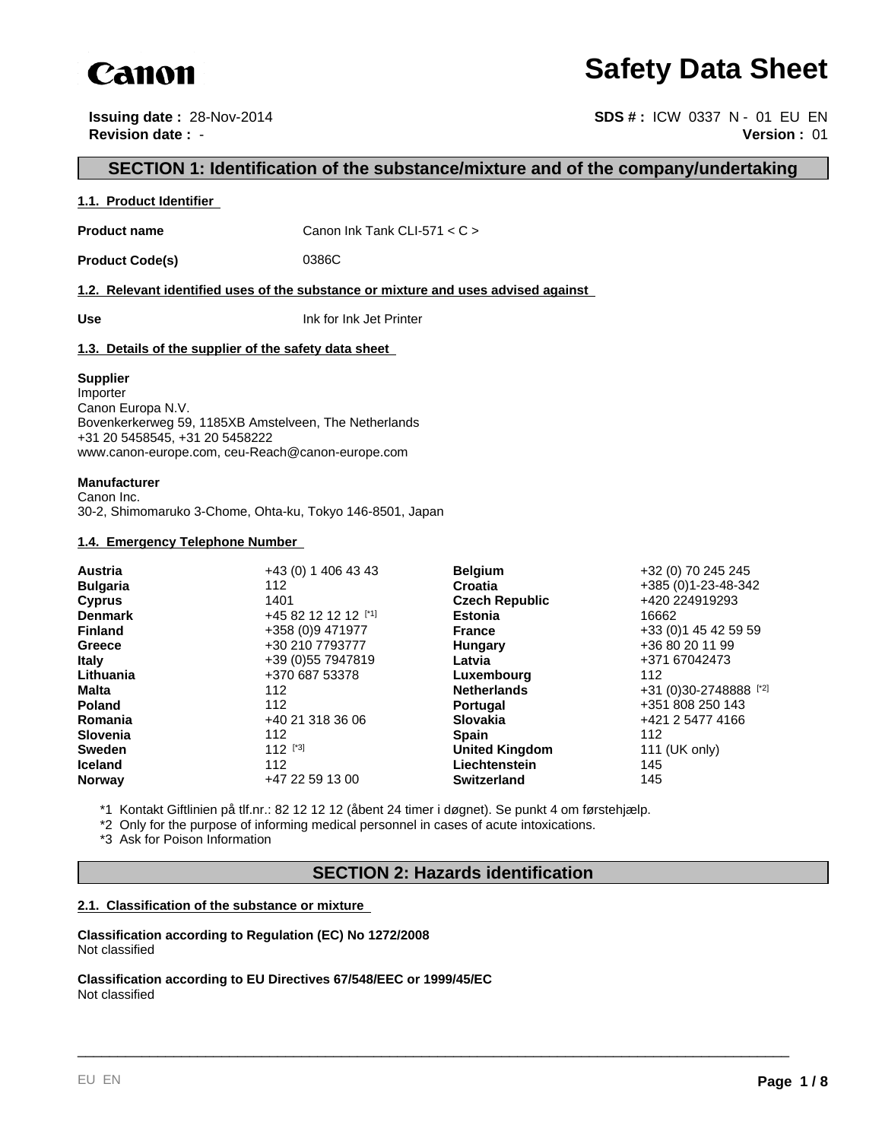

# **Safety Data Sheet**

**Issuing date :** 28-Nov-2014 **SDS #:** ICW 0337 N - 01 EU EN **Revision date :** - **Version :** 01

## **SECTION 1: Identification of the substance/mixture and of the company/undertaking**

## **1.1. Product Identifier**

**Product name** Canon Ink Tank CLI-571 < C >

Product Code(s) 0386C

**1.2. Relevant identified uses of the substance or mixture and uses advised against** 

**Use** Ink for Ink Jet Printer

## **1.3. Details of the supplier of the safety data sheet**

## **Supplier**

Importer Canon Europa N.V. Bovenkerkerweg 59, 1185XB Amstelveen, The Netherlands +31 20 5458545, +31 20 5458222 www.canon-europe.com, ceu-Reach@canon-europe.com

## **Manufacturer**

Canon Inc. 30-2, Shimomaruko 3-Chome, Ohta-ku, Tokyo 146-8501, Japan

## **1.4. Emergency Telephone Number**

| +43 (0) 1 406 43 43  |               | +32 (0) 70 245 245                                                                                                                                                                                                                               |
|----------------------|---------------|--------------------------------------------------------------------------------------------------------------------------------------------------------------------------------------------------------------------------------------------------|
| 112                  |               | +385 (0) 1-23-48-342                                                                                                                                                                                                                             |
| 1401                 |               | +420 224919293                                                                                                                                                                                                                                   |
| +45 82 12 12 12 [*1] |               | 16662                                                                                                                                                                                                                                            |
| +358 (0)9 471977     |               | +33 (0) 1 45 42 59 59                                                                                                                                                                                                                            |
| +30 210 7793777      |               | +36 80 20 11 99                                                                                                                                                                                                                                  |
| +39 (0) 55 7947819   | Latvia        | +371 67042473                                                                                                                                                                                                                                    |
| +370 687 53378       |               | 112                                                                                                                                                                                                                                              |
| 112                  |               | +31 (0)30-2748888 [*2]                                                                                                                                                                                                                           |
| 112                  |               | +351 808 250 143                                                                                                                                                                                                                                 |
| +40 21 318 36 06     |               | +421 2 5477 4166                                                                                                                                                                                                                                 |
| 112                  |               | 112                                                                                                                                                                                                                                              |
| $112$ [*3]           |               | 111 (UK only)                                                                                                                                                                                                                                    |
| 112                  | Liechtenstein | 145                                                                                                                                                                                                                                              |
| +47 22 59 13 00      |               | 145                                                                                                                                                                                                                                              |
|                      |               | <b>Belgium</b><br><b>Croatia</b><br><b>Czech Republic</b><br><b>Estonia</b><br><b>France</b><br>Hungary<br>Luxembourg<br><b>Netherlands</b><br><b>Portugal</b><br><b>Slovakia</b><br><b>Spain</b><br><b>United Kingdom</b><br><b>Switzerland</b> |

\*1 Kontakt Giftlinien på tlf.nr.: 82 12 12 12 (åbent 24 timer i døgnet). Se punkt 4 om førstehjælp.

\*2 Only for the purpose of informing medical personnel in cases of acute intoxications.

\*3 Ask for Poison Information

## **SECTION 2: Hazards identification**

\_\_\_\_\_\_\_\_\_\_\_\_\_\_\_\_\_\_\_\_\_\_\_\_\_\_\_\_\_\_\_\_\_\_\_\_\_\_\_\_\_\_\_\_\_\_\_\_\_\_\_\_\_\_\_\_\_\_\_\_\_\_\_\_\_\_\_\_\_\_\_\_\_\_\_\_\_\_\_\_\_\_\_\_\_\_\_\_\_

## **2.1. Classification of the substance or mixture**

**Classification according to Regulation (EC) No 1272/2008** Not classified

**Classification according to EU Directives 67/548/EEC or 1999/45/EC** Not classified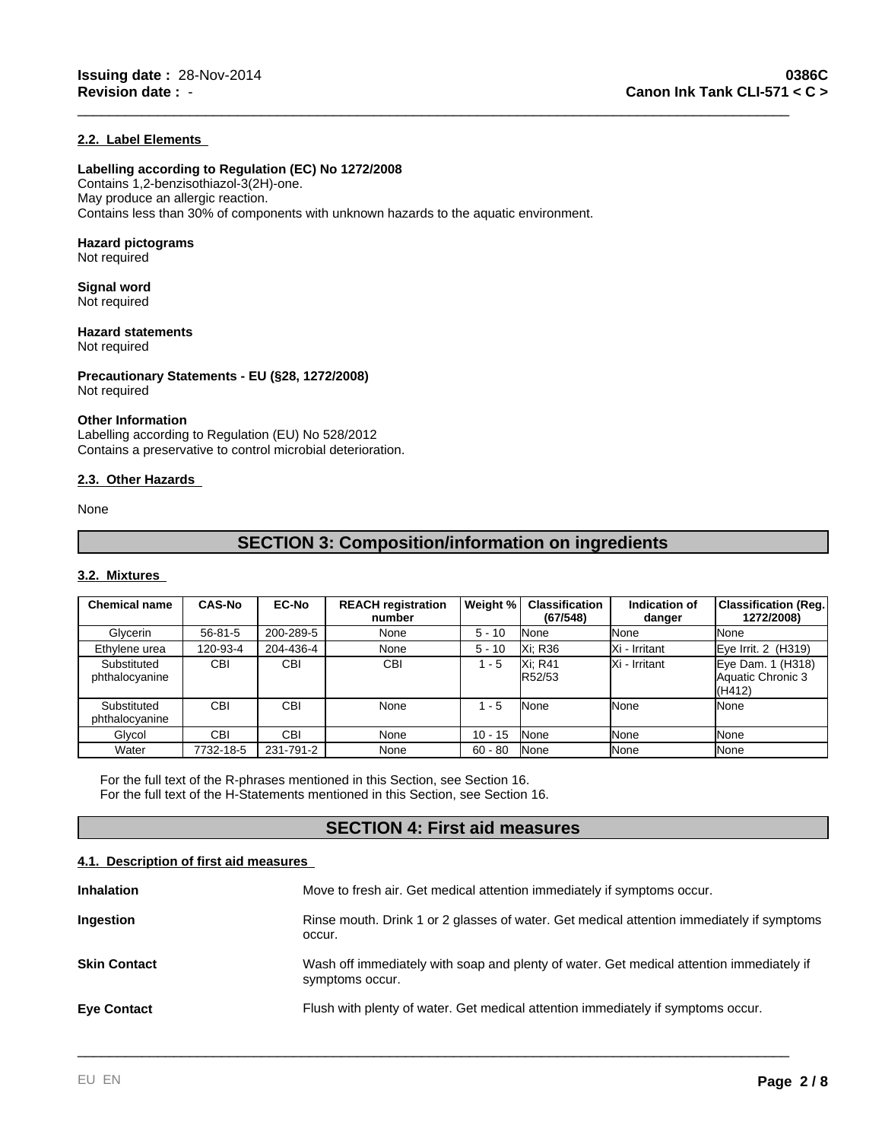## **2.2. Label Elements**

## **Labelling according to Regulation (EC) No 1272/2008**

Contains 1,2-benzisothiazol-3(2H)-one. May produce an allergic reaction. Contains less than 30% of components with unknown hazards to the aquatic environment.

## **Hazard pictograms**

Not required

### **Signal word** Not required

**Hazard statements**

Not required

**Precautionary Statements - EU (§28, 1272/2008)** Not required

## **Other Information**

Labelling according to Regulation (EU) No 528/2012 Contains a preservative to control microbial deterioration.

## **2.3. Other Hazards**

None

## **SECTION 3: Composition/information on ingredients**

\_\_\_\_\_\_\_\_\_\_\_\_\_\_\_\_\_\_\_\_\_\_\_\_\_\_\_\_\_\_\_\_\_\_\_\_\_\_\_\_\_\_\_\_\_\_\_\_\_\_\_\_\_\_\_\_\_\_\_\_\_\_\_\_\_\_\_\_\_\_\_\_\_\_\_\_\_\_\_\_\_\_\_\_\_\_\_\_\_

## **3.2. Mixtures**

| <b>Chemical name</b>          | <b>CAS-No</b> | <b>EC-No</b> | <b>REACH registration</b><br>number | Weight %  | <b>Classification</b><br>(67/548) | Indication of<br>danger | <b>Classification (Reg.)</b><br>1272/2008)       |
|-------------------------------|---------------|--------------|-------------------------------------|-----------|-----------------------------------|-------------------------|--------------------------------------------------|
| Glycerin                      | $56 - 81 - 5$ | 200-289-5    | None                                | $5 - 10$  | None                              | <b>None</b>             | None                                             |
| Ethylene urea                 | 120-93-4      | 204-436-4    | None                                | $5 - 10$  | Xi: R36                           | Xi - Irritant           | Eye Irrit. 2 (H319)                              |
| Substituted<br>phthalocyanine | <b>CBI</b>    | <b>CBI</b>   | <b>CBI</b>                          | $-5$      | Xi: R41<br>R52/53                 | IXi - Irritant          | Eye Dam. 1 (H318)<br>Aquatic Chronic 3<br>(H412) |
| Substituted<br>phthalocyanine | <b>CBI</b>    | <b>CBI</b>   | None                                | - 5       | <b>None</b>                       | <b>None</b>             | None                                             |
| Glycol                        | CBI           | <b>CBI</b>   | None                                | $10 - 15$ | None                              | <b>None</b>             | None                                             |
| Water                         | 7732-18-5     | 231-791-2    | None                                | $60 - 80$ | <b>None</b>                       | <b>None</b>             | None                                             |

For the full text of the R-phrases mentioned in this Section, see Section 16. For the full text of the H-Statements mentioned in this Section, see Section 16.

## **SECTION 4: First aid measures**

## **4.1. Description of first aid measures**

| Move to fresh air. Get medical attention immediately if symptoms occur.                                     |
|-------------------------------------------------------------------------------------------------------------|
| Rinse mouth. Drink 1 or 2 glasses of water. Get medical attention immediately if symptoms<br>occur.         |
| Wash off immediately with soap and plenty of water. Get medical attention immediately if<br>symptoms occur. |
| Flush with plenty of water. Get medical attention immediately if symptoms occur.                            |
|                                                                                                             |

\_\_\_\_\_\_\_\_\_\_\_\_\_\_\_\_\_\_\_\_\_\_\_\_\_\_\_\_\_\_\_\_\_\_\_\_\_\_\_\_\_\_\_\_\_\_\_\_\_\_\_\_\_\_\_\_\_\_\_\_\_\_\_\_\_\_\_\_\_\_\_\_\_\_\_\_\_\_\_\_\_\_\_\_\_\_\_\_\_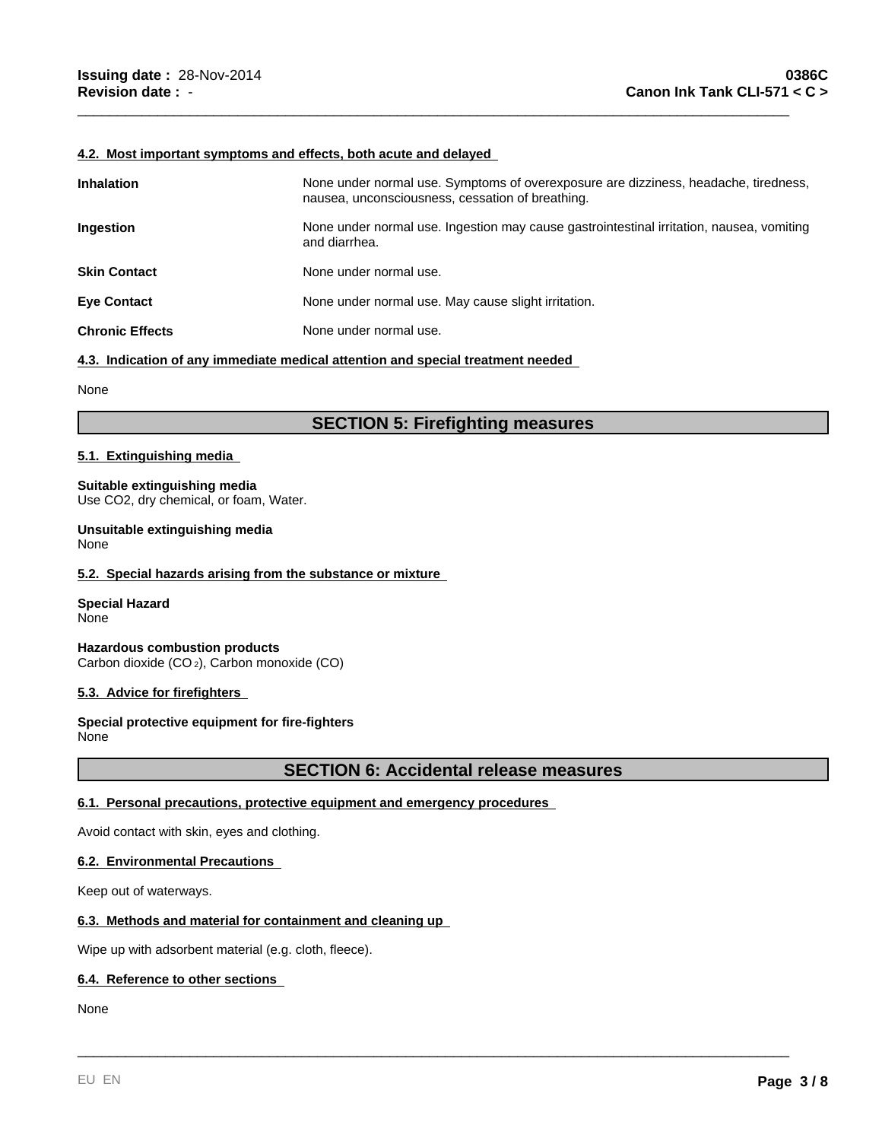### **4.2. Most important symptoms and effects, both acute and delayed**

| <b>Inhalation</b>      | None under normal use. Symptoms of overexposure are dizziness, headache, tiredness,<br>nausea, unconsciousness, cessation of breathing. |
|------------------------|-----------------------------------------------------------------------------------------------------------------------------------------|
| Ingestion              | None under normal use. Ingestion may cause gastrointestinal irritation, nausea, vomiting<br>and diarrhea.                               |
| <b>Skin Contact</b>    | None under normal use.                                                                                                                  |
| <b>Eye Contact</b>     | None under normal use. May cause slight irritation.                                                                                     |
| <b>Chronic Effects</b> | None under normal use.                                                                                                                  |

\_\_\_\_\_\_\_\_\_\_\_\_\_\_\_\_\_\_\_\_\_\_\_\_\_\_\_\_\_\_\_\_\_\_\_\_\_\_\_\_\_\_\_\_\_\_\_\_\_\_\_\_\_\_\_\_\_\_\_\_\_\_\_\_\_\_\_\_\_\_\_\_\_\_\_\_\_\_\_\_\_\_\_\_\_\_\_\_\_

**4.3. Indication of any immediate medical attention and special treatment needed** 

None

## **SECTION 5: Firefighting measures**

## **5.1. Extinguishing media**

### **Suitable extinguishing media** Use CO2, dry chemical, or foam, Water.

**Unsuitable extinguishing media** None

## **5.2. Special hazards arising from the substance or mixture**

**Special Hazard** None

**Hazardous combustion products** Carbon dioxide (CO 2), Carbon monoxide (CO)

## **5.3. Advice for firefighters**

**Special protective equipment for fire-fighters** None

## **SECTION 6: Accidental release measures**

\_\_\_\_\_\_\_\_\_\_\_\_\_\_\_\_\_\_\_\_\_\_\_\_\_\_\_\_\_\_\_\_\_\_\_\_\_\_\_\_\_\_\_\_\_\_\_\_\_\_\_\_\_\_\_\_\_\_\_\_\_\_\_\_\_\_\_\_\_\_\_\_\_\_\_\_\_\_\_\_\_\_\_\_\_\_\_\_\_

## **6.1. Personal precautions, protective equipment and emergency procedures**

Avoid contact with skin, eyes and clothing.

## **6.2. Environmental Precautions**

Keep out of waterways.

## **6.3. Methods and material for containment and cleaning up**

Wipe up with adsorbent material (e.g. cloth, fleece).

## **6.4. Reference to other sections**

None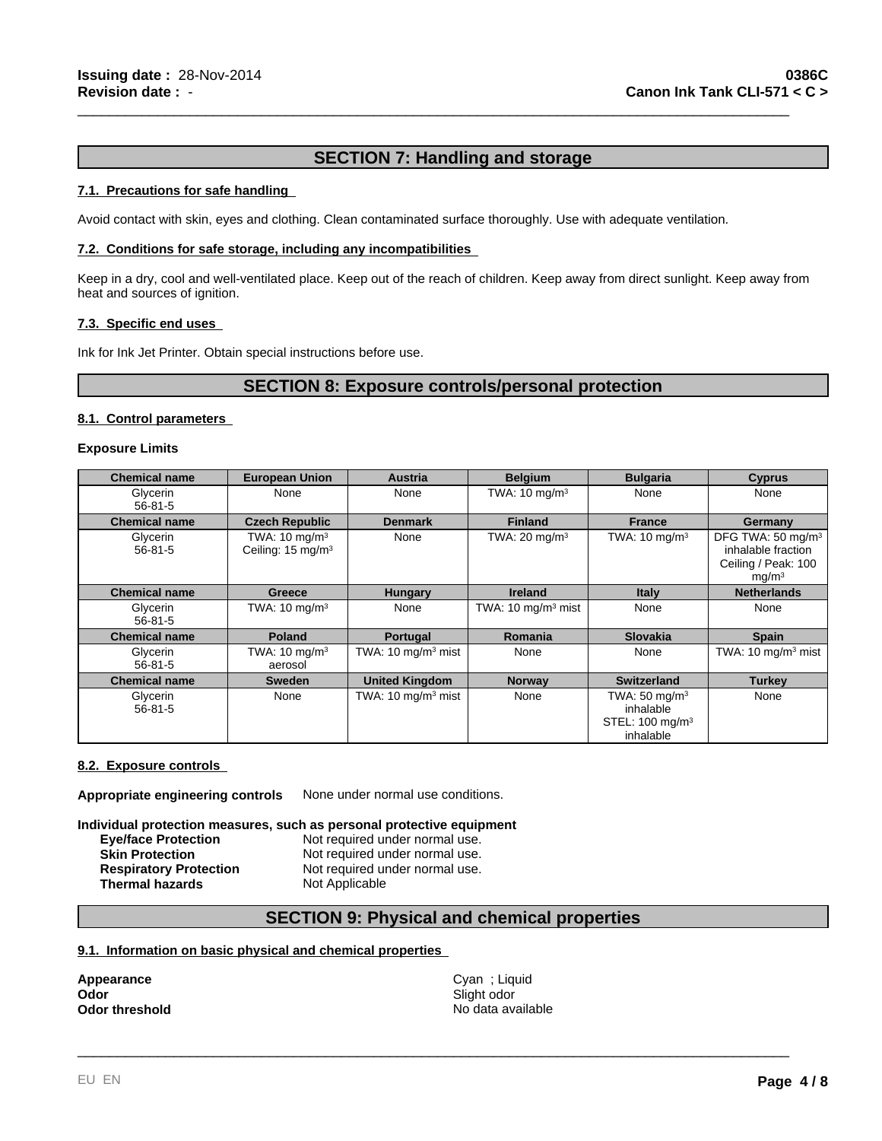## **SECTION 7: Handling and storage**

\_\_\_\_\_\_\_\_\_\_\_\_\_\_\_\_\_\_\_\_\_\_\_\_\_\_\_\_\_\_\_\_\_\_\_\_\_\_\_\_\_\_\_\_\_\_\_\_\_\_\_\_\_\_\_\_\_\_\_\_\_\_\_\_\_\_\_\_\_\_\_\_\_\_\_\_\_\_\_\_\_\_\_\_\_\_\_\_\_

## **7.1. Precautions for safe handling**

Avoid contact with skin, eyes and clothing. Clean contaminated surface thoroughly. Use with adequate ventilation.

## **7.2. Conditions for safe storage, including any incompatibilities**

Keep in a dry, cool and well-ventilated place. Keep out of the reach of children. Keep away from direct sunlight. Keep away from heat and sources of ignition.

### **7.3. Specific end uses**

Ink for Ink Jet Printer. Obtain special instructions before use.

## **SECTION 8: Exposure controls/personal protection**

## **8.1. Control parameters**

### **Exposure Limits**

| <b>Chemical name</b>      | <b>European Union</b>                                     | <b>Austria</b>                           | <b>Belgium</b>                | <b>Bulgaria</b>                                                                   | <b>Cyprus</b>                                                                                   |
|---------------------------|-----------------------------------------------------------|------------------------------------------|-------------------------------|-----------------------------------------------------------------------------------|-------------------------------------------------------------------------------------------------|
| Glycerin<br>$56 - 81 - 5$ | None                                                      | None                                     | TWA: $10 \text{ mg/m}^3$      | None                                                                              | None                                                                                            |
| <b>Chemical name</b>      | <b>Czech Republic</b>                                     | <b>Denmark</b>                           | <b>Finland</b>                | <b>France</b>                                                                     | Germany                                                                                         |
| Glycerin<br>$56 - 81 - 5$ | TWA: $10 \text{ mg/m}^3$<br>Ceiling: 15 mg/m <sup>3</sup> | None                                     | TWA: $20 \text{ mg/m}^3$      | TWA: $10 \text{ mg/m}^3$                                                          | DFG TWA: 50 mg/m <sup>3</sup><br>inhalable fraction<br>Ceiling / Peak: 100<br>mq/m <sup>3</sup> |
| <b>Chemical name</b>      | <b>Greece</b>                                             | <b>Hungary</b>                           | <b>Ireland</b>                | <b>Italy</b>                                                                      | <b>Netherlands</b>                                                                              |
| Glycerin<br>$56 - 81 - 5$ | TWA: $10 \text{ mg/m}^3$                                  | None                                     | TWA: $10 \text{ mg/m}^3$ mist | None                                                                              | None                                                                                            |
| <b>Chemical name</b>      | <b>Poland</b>                                             | Portugal                                 | Romania                       | <b>Slovakia</b>                                                                   | <b>Spain</b>                                                                                    |
| Glycerin<br>$56 - 81 - 5$ | TWA: $10 \text{ mg/m}^3$<br>aerosol                       | TWA: $10 \text{ mg/m}^3$ mist            | None                          | None                                                                              | TWA: $10 \text{ mg/m}^3$ mist                                                                   |
| <b>Chemical name</b>      | <b>Sweden</b>                                             | <b>United Kingdom</b>                    | <b>Norway</b>                 | <b>Switzerland</b>                                                                | <b>Turkey</b>                                                                                   |
| Glycerin<br>$56 - 81 - 5$ | None                                                      | TWA: $10 \text{ mg/m}$ <sup>3</sup> mist | None                          | TWA: $50 \text{ mg/m}^3$<br>inhalable<br>STEL: 100 mg/m <sup>3</sup><br>inhalable | None                                                                                            |

### **8.2. Exposure controls**

**Appropriate engineering controls** None under normal use conditions.

**Individual protection measures, such as personal protective equipment**

| <b>Eye/face Protection</b>    | Not required under normal use. |
|-------------------------------|--------------------------------|
| <b>Skin Protection</b>        | Not required under normal use. |
| <b>Respiratory Protection</b> | Not required under normal use. |
| Thermal hazards               | Not Applicable                 |
|                               |                                |

## **SECTION 9: Physical and chemical properties**

## **9.1. Information on basic physical and chemical properties**

| Appearance            |  |
|-----------------------|--|
| Odor                  |  |
| <b>Odor threshold</b> |  |

**Appearance** Cyan ; Liquid Slight odor **No data available** 

\_\_\_\_\_\_\_\_\_\_\_\_\_\_\_\_\_\_\_\_\_\_\_\_\_\_\_\_\_\_\_\_\_\_\_\_\_\_\_\_\_\_\_\_\_\_\_\_\_\_\_\_\_\_\_\_\_\_\_\_\_\_\_\_\_\_\_\_\_\_\_\_\_\_\_\_\_\_\_\_\_\_\_\_\_\_\_\_\_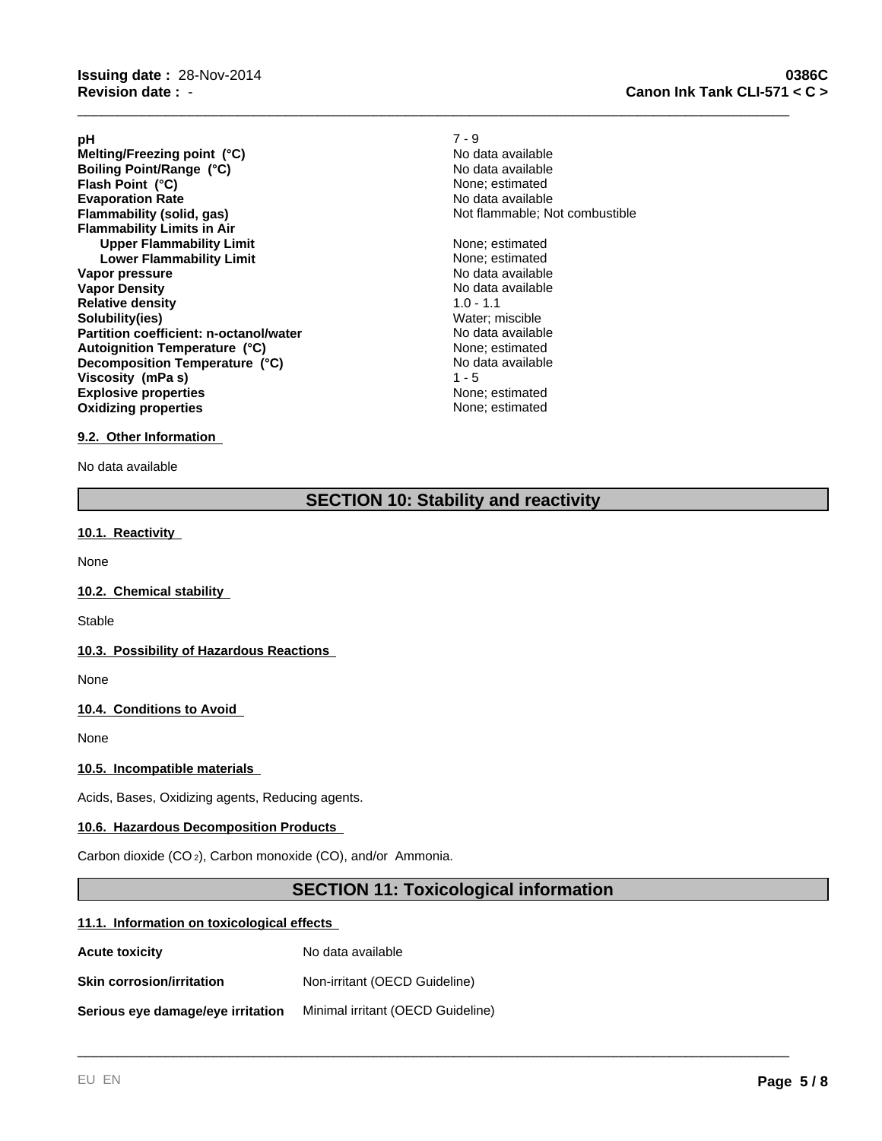**Evaporation Rate Evaporation Rate Evaporation Rate Flammability (solid, gas) No data available Flammability (solid, gas) No data available Flammability Limits in Air Upper Flammability Limit** None; estimated **Lower Flammability Limit** None; estimated **Vapor pressure** No data available No data available **Vapor Density No data available No data available Relative density** 1.0 - 1.1 **Solubility(ies)**<br> **Partition coefficient: n-octanol/water**<br> **Partition coefficient: n-octanol/water**<br> **No data available Partition coefficient: n-octanol/water** No data available<br> **Autoignition Temperature (°C)** None: estimated **Explosive properties**<br> **Explosive properties**<br> **Oxidizing properties**<br> **None:** estimated **Oxidizing properties Melting/Freezing point (°C)**<br> **Boiling Point/Range (°C)**<br> **Boiling Point/Range (°C) Boiling Point/Range (°C)**<br> **Boiling Point (°C)**<br> **Plash Point (°C)**<br> **Range CO** None: estimated **Flash Point (°C) Autoignition Temperature (°C) Decomposition Temperature (°C) Viscosity (mPa s)** 1 - 5

**pH** 7 - 9 Not flammable; Not combustible

\_\_\_\_\_\_\_\_\_\_\_\_\_\_\_\_\_\_\_\_\_\_\_\_\_\_\_\_\_\_\_\_\_\_\_\_\_\_\_\_\_\_\_\_\_\_\_\_\_\_\_\_\_\_\_\_\_\_\_\_\_\_\_\_\_\_\_\_\_\_\_\_\_\_\_\_\_\_\_\_\_\_\_\_\_\_\_\_\_

No data available

## **9.2. Other Information**

No data available

## **SECTION 10: Stability and reactivity**

## **10.1. Reactivity**

None

## **10.2. Chemical stability**

Stable

## **10.3. Possibility of Hazardous Reactions**

None

## **10.4. Conditions to Avoid**

None

## **10.5. Incompatible materials**

Acids, Bases, Oxidizing agents, Reducing agents.

### **10.6. Hazardous Decomposition Products**

Carbon dioxide (CO 2), Carbon monoxide (CO), and/or Ammonia.

## **SECTION 11: Toxicological information**

\_\_\_\_\_\_\_\_\_\_\_\_\_\_\_\_\_\_\_\_\_\_\_\_\_\_\_\_\_\_\_\_\_\_\_\_\_\_\_\_\_\_\_\_\_\_\_\_\_\_\_\_\_\_\_\_\_\_\_\_\_\_\_\_\_\_\_\_\_\_\_\_\_\_\_\_\_\_\_\_\_\_\_\_\_\_\_\_\_

### **11.1. Information on toxicological effects**

| <b>Acute toxicity</b>             | No data available                 |
|-----------------------------------|-----------------------------------|
| <b>Skin corrosion/irritation</b>  | Non-irritant (OECD Guideline)     |
| Serious eye damage/eye irritation | Minimal irritant (OECD Guideline) |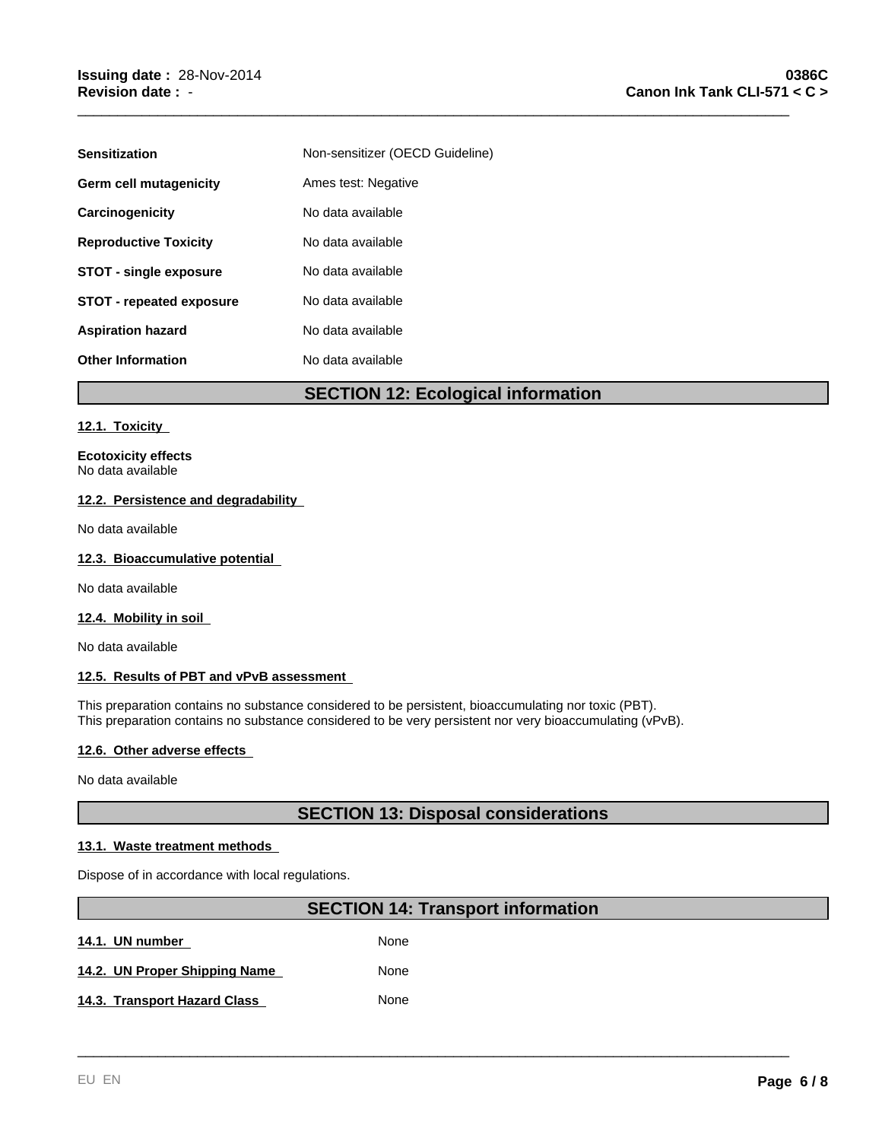| <b>Sensitization</b>            | Non-sensitizer (OECD Guideline) |
|---------------------------------|---------------------------------|
| Germ cell mutagenicity          | Ames test: Negative             |
| Carcinogenicity                 | No data available               |
| <b>Reproductive Toxicity</b>    | No data available               |
| <b>STOT - single exposure</b>   | No data available               |
| <b>STOT - repeated exposure</b> | No data available               |
| <b>Aspiration hazard</b>        | No data available               |
| <b>Other Information</b>        | No data available               |

## **SECTION 12: Ecological information**

\_\_\_\_\_\_\_\_\_\_\_\_\_\_\_\_\_\_\_\_\_\_\_\_\_\_\_\_\_\_\_\_\_\_\_\_\_\_\_\_\_\_\_\_\_\_\_\_\_\_\_\_\_\_\_\_\_\_\_\_\_\_\_\_\_\_\_\_\_\_\_\_\_\_\_\_\_\_\_\_\_\_\_\_\_\_\_\_\_

## **12.1. Toxicity**

**Ecotoxicity effects** No data available

## **12.2. Persistence and degradability**

No data available

## **12.3. Bioaccumulative potential**

No data available

## **12.4. Mobility in soil**

No data available

### **12.5. Results of PBT and vPvB assessment**

This preparation contains no substance considered to be persistent, bioaccumulating nor toxic (PBT). This preparation contains no substance considered to be very persistent nor very bioaccumulating (vPvB).

### **12.6. Other adverse effects**

No data available

## **SECTION 13: Disposal considerations**

## **13.1. Waste treatment methods**

Dispose of in accordance with local regulations.

## **SECTION 14: Transport information**

\_\_\_\_\_\_\_\_\_\_\_\_\_\_\_\_\_\_\_\_\_\_\_\_\_\_\_\_\_\_\_\_\_\_\_\_\_\_\_\_\_\_\_\_\_\_\_\_\_\_\_\_\_\_\_\_\_\_\_\_\_\_\_\_\_\_\_\_\_\_\_\_\_\_\_\_\_\_\_\_\_\_\_\_\_\_\_\_\_

14.1. UN number **None** None

| 14.2. UN Proper Shipping Name | None |  |
|-------------------------------|------|--|
|                               |      |  |

| 14.3. Transport Hazard Class | None |
|------------------------------|------|
|                              |      |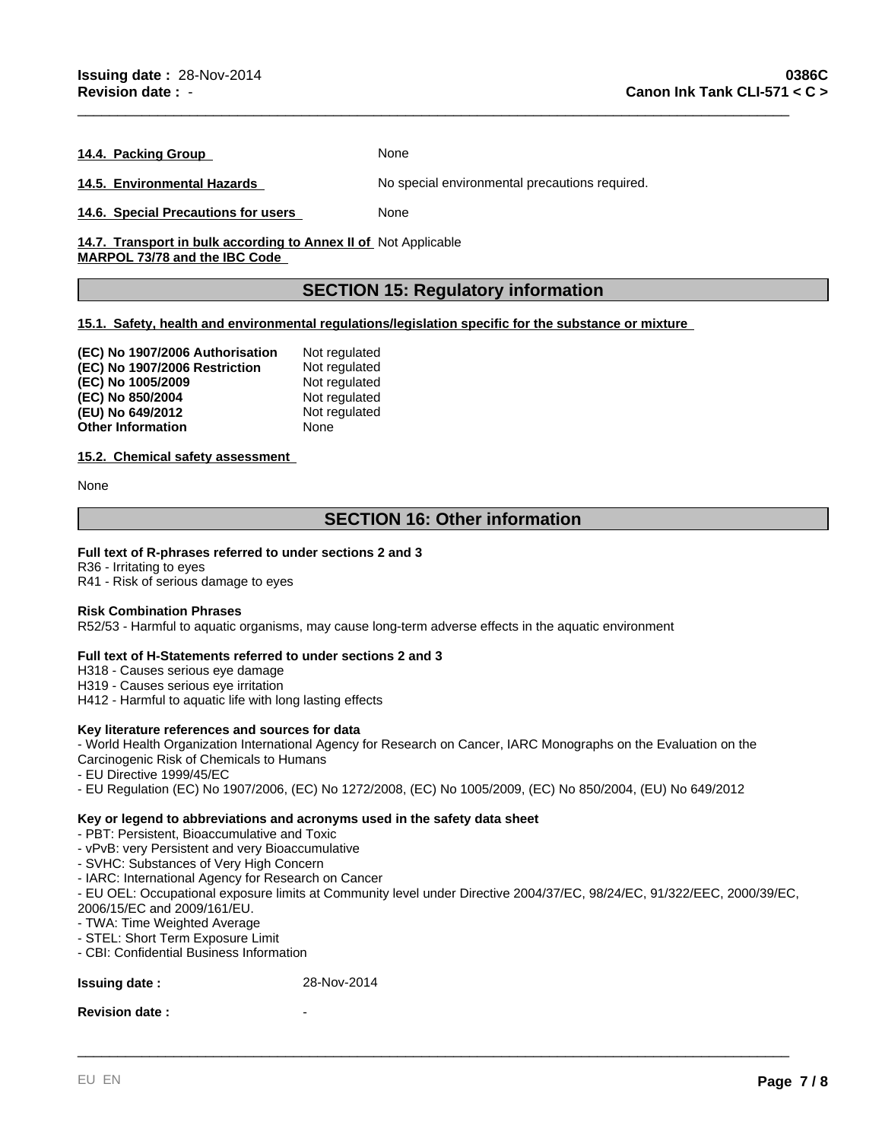14.4. Packing Group **None** None

**14.5. Environmental Hazards** No special environmental precautions required.

**14.6. Special Precautions for users** None

14.7. Transport in bulk according to Annex II of Not Applicable **MARPOL 73/78 and the IBC Code** 

## **SECTION 15: Regulatory information**

\_\_\_\_\_\_\_\_\_\_\_\_\_\_\_\_\_\_\_\_\_\_\_\_\_\_\_\_\_\_\_\_\_\_\_\_\_\_\_\_\_\_\_\_\_\_\_\_\_\_\_\_\_\_\_\_\_\_\_\_\_\_\_\_\_\_\_\_\_\_\_\_\_\_\_\_\_\_\_\_\_\_\_\_\_\_\_\_\_

## **15.1. Safety, health and environmental regulations/legislation specific for the substance or mixture**

| (EC) No 1907/2006 Authorisation | Not regulated |
|---------------------------------|---------------|
| (EC) No 1907/2006 Restriction   | Not regulated |
| (EC) No 1005/2009               | Not regulated |
| (EC) No 850/2004                | Not regulated |
| (EU) No 649/2012                | Not regulated |
| Other Information               | None          |

## **15.2. Chemical safety assessment**

None

## **SECTION 16: Other information**

## **Full text of R-phrases referred to under sections 2 and 3**

R36 - Irritating to eyes R41 - Risk of serious damage to eyes

### **Risk Combination Phrases**

R52/53 - Harmful to aquatic organisms, may cause long-term adverse effects in the aquatic environment

### **Full text of H-Statements referred to under sections 2 and 3**

H318 - Causes serious eye damage

H319 - Causes serious eye irritation

H412 - Harmful to aquatic life with long lasting effects

## **Key literature references and sources for data**

- World Health Organization International Agency for Research on Cancer, IARC Monographs on the Evaluation on the Carcinogenic Risk of Chemicals to Humans

- 
- EU Directive 1999/45/EC
- EU Regulation (EC) No 1907/2006, (EC) No 1272/2008, (EC) No 1005/2009, (EC) No 850/2004, (EU) No 649/2012

## **Key or legend to abbreviations and acronyms used in the safety data sheet**

- PBT: Persistent, Bioaccumulative and Toxic

- vPvB: very Persistent and very Bioaccumulative
- SVHC: Substances of Very High Concern
- IARC: International Agency for Research on Cancer
- EU OEL: Occupational exposure limits at Community level under Directive 2004/37/EC, 98/24/EC, 91/322/EEC, 2000/39/EC, 2006/15/EC and 2009/161/EU.

\_\_\_\_\_\_\_\_\_\_\_\_\_\_\_\_\_\_\_\_\_\_\_\_\_\_\_\_\_\_\_\_\_\_\_\_\_\_\_\_\_\_\_\_\_\_\_\_\_\_\_\_\_\_\_\_\_\_\_\_\_\_\_\_\_\_\_\_\_\_\_\_\_\_\_\_\_\_\_\_\_\_\_\_\_\_\_\_\_

- TWA: Time Weighted Average
- STEL: Short Term Exposure Limit
- CBI: Confidential Business Information

## **Issuing date :** 28-Nov-2014

### **Revision date:**